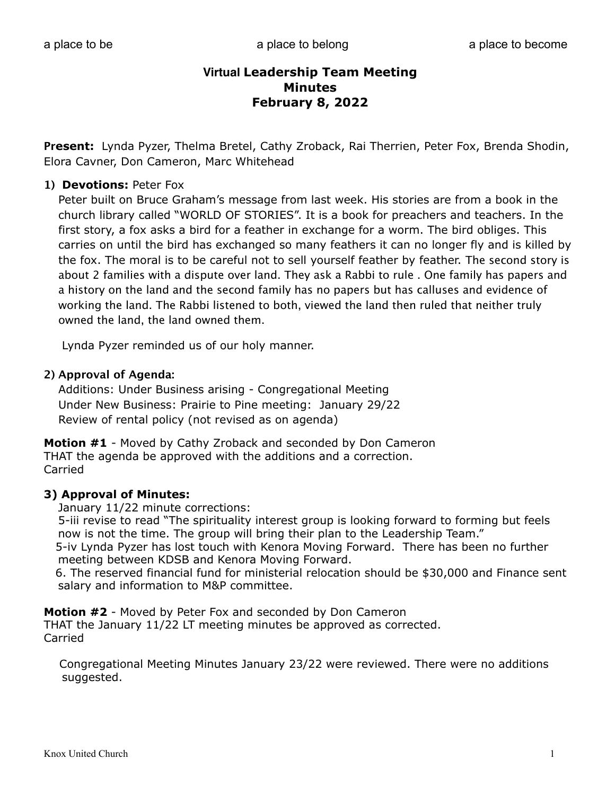**Present:** Lynda Pyzer, Thelma Bretel, Cathy Zroback, Rai Therrien, Peter Fox, Brenda Shodin, Elora Cavner, Don Cameron, Marc Whitehead

#### **1) Devotions:** Peter Fox

Peter built on Bruce Graham's message from last week. His stories are from a book in the church library called "WORLD OF STORIES". It is a book for preachers and teachers. In the first story, a fox asks a bird for a feather in exchange for a worm. The bird obliges. This carries on until the bird has exchanged so many feathers it can no longer fly and is killed by the fox. The moral is to be careful not to sell yourself feather by feather. The second story is about 2 families with a dispute over land. They ask a Rabbi to rule . One family has papers and a history on the land and the second family has no papers but has calluses and evidence of working the land. The Rabbi listened to both, viewed the land then ruled that neither truly owned the land, the land owned them.

Lynda Pyzer reminded us of our holy manner.

#### **2) Approval of Agenda:**

Additions: Under Business arising - Congregational Meeting Under New Business: Prairie to Pine meeting: January 29/22 Review of rental policy (not revised as on agenda)

**Motion #1** - Moved by Cathy Zroback and seconded by Don Cameron THAT the agenda be approved with the additions and a correction. Carried

#### **3) Approval of Minutes:**

January 11/22 minute corrections:

 5-iii revise to read "The spirituality interest group is looking forward to forming but feels now is not the time. The group will bring their plan to the Leadership Team."

 5-iv Lynda Pyzer has lost touch with Kenora Moving Forward. There has been no further meeting between KDSB and Kenora Moving Forward.

 6. The reserved financial fund for ministerial relocation should be \$30,000 and Finance sent salary and information to M&P committee.

**Motion #2** - Moved by Peter Fox and seconded by Don Cameron

THAT the January 11/22 LT meeting minutes be approved as corrected. Carried

 Congregational Meeting Minutes January 23/22 were reviewed. There were no additions suggested.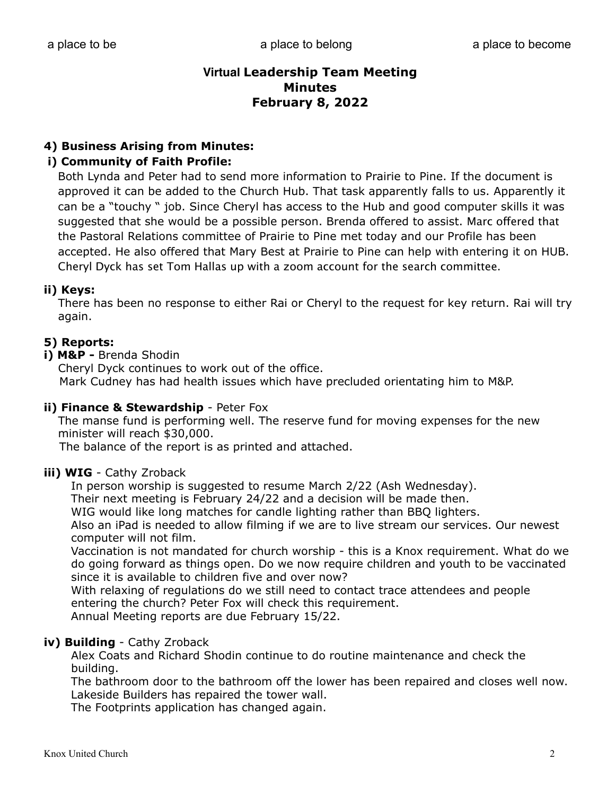## **4) Business Arising from Minutes:**

## **i) Community of Faith Profile:**

Both Lynda and Peter had to send more information to Prairie to Pine. If the document is approved it can be added to the Church Hub. That task apparently falls to us. Apparently it can be a "touchy " job. Since Cheryl has access to the Hub and good computer skills it was suggested that she would be a possible person. Brenda offered to assist. Marc ofered that the Pastoral Relations committee of Prairie to Pine met today and our Profile has been accepted. He also offered that Mary Best at Prairie to Pine can help with entering it on HUB. Cheryl Dyck has set Tom Hallas up with a zoom account for the search committee.

#### **ii) Keys:**

There has been no response to either Rai or Cheryl to the request for key return. Rai will try again.

#### **5) Reports:**

**i) M&P -** Brenda Shodin

 Cheryl Dyck continues to work out of the office. Mark Cudney has had health issues which have precluded orientating him to M&P.

#### **ii) Finance & Stewardship** - Peter Fox

 The manse fund is performing well. The reserve fund for moving expenses for the new minister will reach \$30,000.

The balance of the report is as printed and attached.

#### **iii) WIG** - Cathy Zroback

In person worship is suggested to resume March 2/22 (Ash Wednesday).

Their next meeting is February 24/22 and a decision will be made then.

WIG would like long matches for candle lighting rather than BBQ lighters.

 Also an iPad is needed to allow filming if we are to live stream our services. Our newest computer will not film.

 Vaccination is not mandated for church worship - this is a Knox requirement. What do we do going forward as things open. Do we now require children and youth to be vaccinated since it is available to children five and over now?

 With relaxing of regulations do we still need to contact trace attendees and people entering the church? Peter Fox will check this requirement.

Annual Meeting reports are due February 15/22.

#### **iv) Building** - Cathy Zroback

 Alex Coats and Richard Shodin continue to do routine maintenance and check the building.

 The bathroom door to the bathroom off the lower has been repaired and closes well now. Lakeside Builders has repaired the tower wall.

The Footprints application has changed again.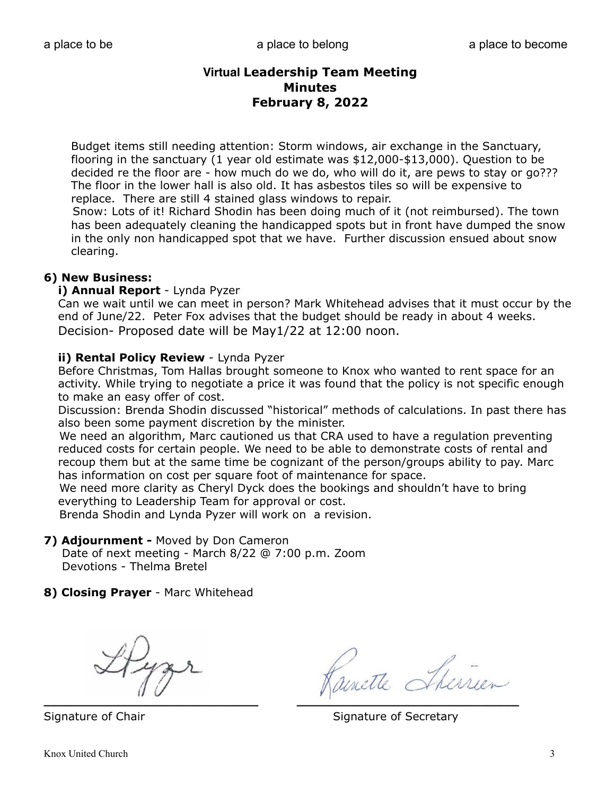Budget items still needing attention: Storm windows, air exchange in the Sanctuary, flooring in the sanctuary (1 year old estimate was \$12,000-\$13,000). Question to be decided re the floor are - how much do we do, who will do it, are pews to stay or go??? The floor in the lower hall is also old. It has asbestos tiles so will be expensive to replace. There are still 4 stained glass windows to repair.

 Snow: Lots of it! Richard Shodin has been doing much of it (not reimbursed). The town has been adequately cleaning the handicapped spots but in front have dumped the snow in the only non handicapped spot that we have. Further discussion ensued about snow clearing.

## **6) New Business:**

#### **i) Annual Report** - Lynda Pyzer

 Can we wait until we can meet in person? Mark Whitehead advises that it must occur by the end of June/22. Peter Fox advises that the budget should be ready in about 4 weeks. Decision- Proposed date will be May1/22 at 12:00 noon.

#### **ii) Rental Policy Review** - Lynda Pyzer

 Before Christmas, Tom Hallas brought someone to Knox who wanted to rent space for an activity. While trying to negotiate a price it was found that the policy is not specific enough to make an easy offer of cost.

 Discussion: Brenda Shodin discussed "historical" methods of calculations. In past there has also been some payment discretion by the minister.

 We need an algorithm, Marc cautioned us that CRA used to have a regulation preventing reduced costs for certain people. We need to be able to demonstrate costs of rental and recoup them but at the same time be cognizant of the person/groups ability to pay. Marc has information on cost per square foot of maintenance for space.

 We need more clarity as Cheryl Dyck does the bookings and shouldn't have to bring everything to Leadership Team for approval or cost.

Brenda Shodin and Lynda Pyzer will work on a revision.

#### **7) Adjournment -** Moved by Don Cameron

 Date of next meeting - March 8/22 @ 7:00 p.m. Zoom Devotions - Thelma Bretel

**8) Closing Prayer** - Marc Whitehead

 $\mathcal{L} = \{ \mathcal{L} \mid \mathcal{L} \text{ and } \mathcal{L} \text{ and } \mathcal{L} \text{ and } \mathcal{L} \text{ are } \mathcal{L} \text{ and } \mathcal{L} \text{ and } \mathcal{L} \text{ are } \mathcal{L} \text{ and } \mathcal{L} \text{ are } \mathcal{L} \text{ and } \mathcal{L} \text{ are } \mathcal{L} \text{ and } \mathcal{L} \text{ are } \mathcal{L} \text{ and } \mathcal{L} \text{ are } \mathcal{L} \text{ and } \mathcal{L} \text{ are } \mathcal{L} \text{ and } \mathcal{L$ 

Signature of Chair Signature of Secretary